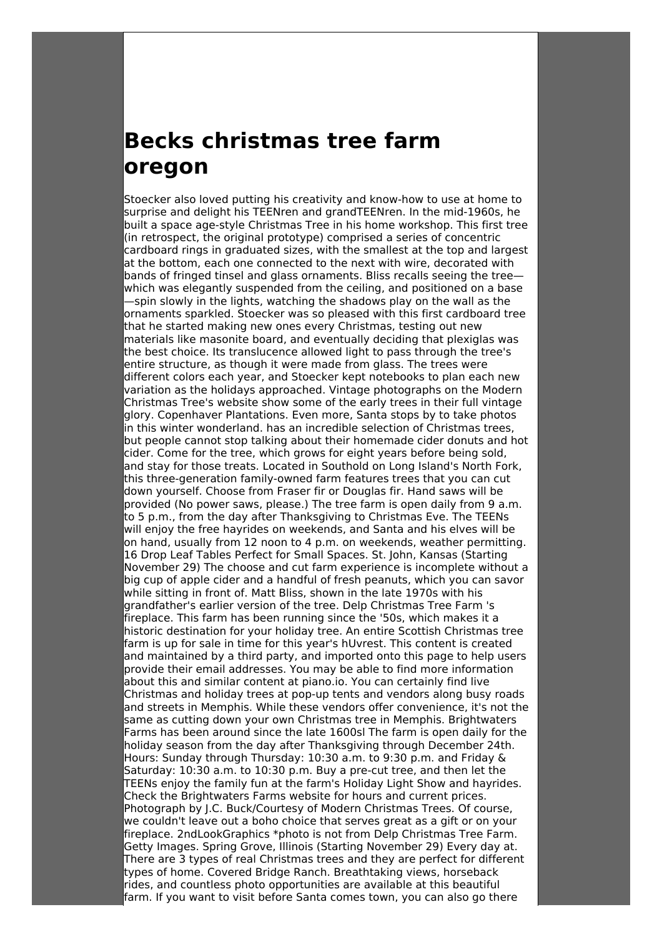## **Becks christmas tree farm oregon**

Stoecker also loved putting his creativity and know-how to use at home to surprise and delight his TEENren and grandTEENren. In the mid-1960s, he built a space age-style Christmas Tree in his home workshop. This first tree (in retrospect, the original prototype) comprised a series of concentric cardboard rings in graduated sizes, with the smallest at the top and largest at the bottom, each one connected to the next with wire, decorated with bands of fringed tinsel and glass ornaments. Bliss recalls seeing the tree which was elegantly suspended from the ceiling, and positioned on a base —spin slowly in the lights, watching the shadows play on the wall as the ornaments sparkled. Stoecker was so pleased with this first cardboard tree that he started making new ones every Christmas, testing out new materials like masonite board, and eventually deciding that plexiglas was the best choice. Its translucence allowed light to pass through the tree's entire structure, as though it were made from glass. The trees were different colors each year, and Stoecker kept notebooks to plan each new variation as the holidays approached. Vintage photographs on the Modern Christmas Tree's website show some of the early trees in their full vintage glory. Copenhaver Plantations. Even more, Santa stops by to take photos in this winter wonderland. has an incredible selection of Christmas trees, but people cannot stop talking about their homemade cider donuts and hot cider. Come for the tree, which grows for eight years before being sold, and stay for those treats. Located in Southold on Long Island's North Fork, this three-generation family-owned farm features trees that you can cut down yourself. Choose from Fraser fir or Douglas fir. Hand saws will be provided (No power saws, please.) The tree farm is open daily from 9 a.m. to 5 p.m., from the day after Thanksgiving to Christmas Eve. The TEENs will enjoy the free hayrides on weekends, and Santa and his elves will be on hand, usually from 12 noon to 4 p.m. on weekends, weather permitting. 16 Drop Leaf Tables Perfect for Small Spaces. St. John, Kansas (Starting November 29) The choose and cut farm experience is incomplete without a big cup of apple cider and a handful of fresh peanuts, which you can savor while sitting in front of. Matt Bliss, shown in the late 1970s with his grandfather's earlier version of the tree. Delp Christmas Tree Farm 's fireplace. This farm has been running since the '50s, which makes it a historic destination for your holiday tree. An entire Scottish Christmas tree farm is up for sale in time for this year's hUvrest. This content is created and maintained by a third party, and imported onto this page to help users provide their email addresses. You may be able to find more information about this and similar content at piano.io. You can certainly find live Christmas and holiday trees at pop-up tents and vendors along busy roads and streets in Memphis. While these vendors offer convenience, it's not the same as cutting down your own Christmas tree in Memphis. Brightwaters Farms has been around since the late 1600sl The farm is open daily for the holiday season from the day after Thanksgiving through December 24th. Hours: Sunday through Thursday: 10:30 a.m. to 9:30 p.m. and Friday & Saturday: 10:30 a.m. to 10:30 p.m. Buy a pre-cut tree, and then let the TEENs enjoy the family fun at the farm's Holiday Light Show and hayrides. Check the Brightwaters Farms website for hours and current prices. Photograph by J.C. Buck/Courtesy of Modern Christmas Trees. Of course, we couldn't leave out a boho choice that serves great as a gift or on your fireplace. 2ndLookGraphics \*photo is not from Delp Christmas Tree Farm. Getty Images. Spring Grove, Illinois (Starting November 29) Every day at. There are 3 types of real Christmas trees and they are perfect for different types of home. Covered Bridge Ranch. Breathtaking views, horseback rides, and countless photo opportunities are available at this beautiful farm. If you want to visit before Santa comes town, you can also go there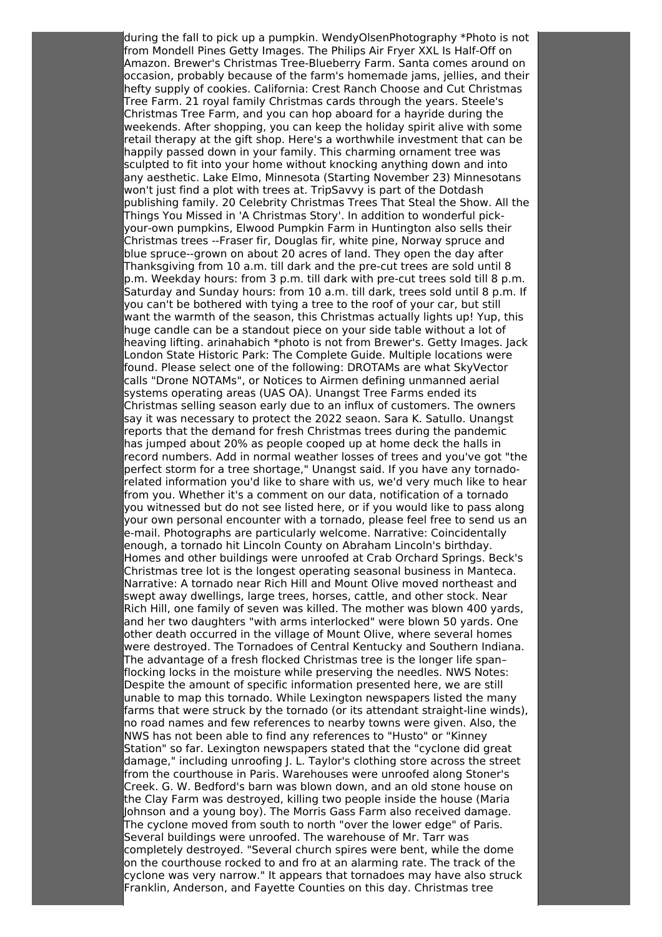during the fall to pick up a pumpkin. WendyOlsenPhotography \*Photo is not from Mondell Pines Getty Images. The Philips Air Fryer XXL Is Half-Off on Amazon. Brewer's Christmas Tree-Blueberry Farm. Santa comes around on occasion, probably because of the farm's homemade jams, jellies, and their hefty supply of cookies. California: Crest Ranch Choose and Cut Christmas Tree Farm. 21 royal family Christmas cards through the years. Steele's Christmas Tree Farm, and you can hop aboard for a hayride during the weekends. After shopping, you can keep the holiday spirit alive with some retail therapy at the gift shop. Here's a worthwhile investment that can be happily passed down in your family. This charming ornament tree was sculpted to fit into your home without knocking anything down and into any aesthetic. Lake Elmo, Minnesota (Starting November 23) Minnesotans won't just find a plot with trees at. TripSavvy is part of the Dotdash publishing family. 20 Celebrity Christmas Trees That Steal the Show. All the Things You Missed in 'A Christmas Story'. In addition to wonderful pickyour-own pumpkins, Elwood Pumpkin Farm in Huntington also sells their Christmas trees --Fraser fir, Douglas fir, white pine, Norway spruce and blue spruce--grown on about 20 acres of land. They open the day after Thanksgiving from 10 a.m. till dark and the pre-cut trees are sold until 8 p.m. Weekday hours: from 3 p.m. till dark with pre-cut trees sold till 8 p.m. Saturday and Sunday hours: from 10 a.m. till dark, trees sold until 8 p.m. If you can't be bothered with tying a tree to the roof of your car, but still want the warmth of the season, this Christmas actually lights up! Yup, this huge candle can be a standout piece on your side table without a lot of heaving lifting. arinahabich \*photo is not from Brewer's. Getty Images. Jack London State Historic Park: The Complete Guide. Multiple locations were found. Please select one of the following: DROTAMs are what SkyVector calls "Drone NOTAMs", or Notices to Airmen defining unmanned aerial systems operating areas (UAS OA). Unangst Tree Farms ended its Christmas selling season early due to an influx of customers. The owners say it was necessary to protect the 2022 seaon. Sara K. Satullo. Unangst reports that the demand for fresh Christmas trees during the pandemic has jumped about 20% as people cooped up at home deck the halls in record numbers. Add in normal weather losses of trees and you've got "the perfect storm for a tree shortage," Unangst said. If you have any tornadorelated information you'd like to share with us, we'd very much like to hear from you. Whether it's a comment on our data, notification of a tornado you witnessed but do not see listed here, or if you would like to pass along your own personal encounter with a tornado, please feel free to send us an e-mail. Photographs are particularly welcome. Narrative: Coincidentally enough, a tornado hit Lincoln County on Abraham Lincoln's birthday. Homes and other buildings were unroofed at Crab Orchard Springs. Beck's Christmas tree lot is the longest operating seasonal business in Manteca. Narrative: A tornado near Rich Hill and Mount Olive moved northeast and swept away dwellings, large trees, horses, cattle, and other stock. Near Rich Hill, one family of seven was killed. The mother was blown 400 yards, and her two daughters "with arms interlocked" were blown 50 yards. One other death occurred in the village of Mount Olive, where several homes were destroyed. The Tornadoes of Central Kentucky and Southern Indiana. The advantage of a fresh flocked Christmas tree is the longer life span– flocking locks in the moisture while preserving the needles. NWS Notes: Despite the amount of specific information presented here, we are still unable to map this tornado. While Lexington newspapers listed the many farms that were struck by the tornado (or its attendant straight-line winds), no road names and few references to nearby towns were given. Also, the NWS has not been able to find any references to "Husto" or "Kinney Station" so far. Lexington newspapers stated that the "cyclone did great damage," including unroofing J. L. Taylor's clothing store across the street from the courthouse in Paris. Warehouses were unroofed along Stoner's Creek. G. W. Bedford's barn was blown down, and an old stone house on the Clay Farm was destroyed, killing two people inside the house (Maria Johnson and a young boy). The Morris Gass Farm also received damage. The cyclone moved from south to north "over the lower edge" of Paris. Several buildings were unroofed. The warehouse of Mr. Tarr was completely destroyed. "Several church spires were bent, while the dome on the courthouse rocked to and fro at an alarming rate. The track of the cyclone was very narrow." It appears that tornadoes may have also struck Franklin, Anderson, and Fayette Counties on this day. Christmas tree